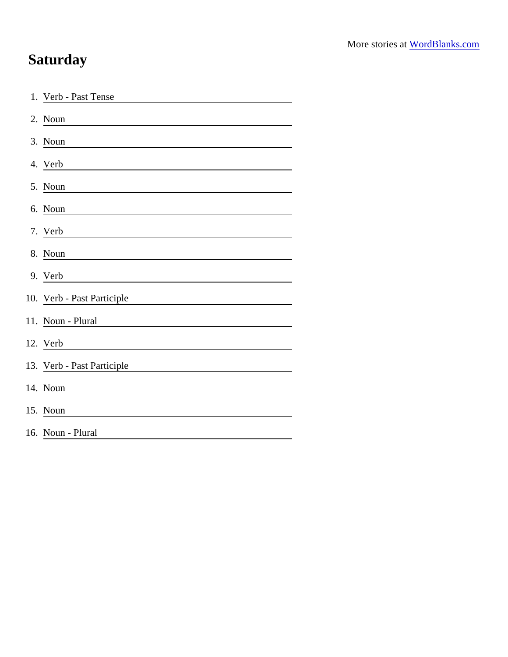## **Saturday**

| 1. Verb - Past Tense                                                                                                                                                                                                                             |
|--------------------------------------------------------------------------------------------------------------------------------------------------------------------------------------------------------------------------------------------------|
| 2. Noun                                                                                                                                                                                                                                          |
| 3. Noun                                                                                                                                                                                                                                          |
| 4. Verb<br><u> 1989 - Johann Stoff, deutscher Stoffen und der Stoffen und der Stoffen und der Stoffen und der Stoffen und der</u>                                                                                                                |
| 5. Noun                                                                                                                                                                                                                                          |
| 6. Noun                                                                                                                                                                                                                                          |
| 7. Verb                                                                                                                                                                                                                                          |
| 8. Noun                                                                                                                                                                                                                                          |
| 9. Verb                                                                                                                                                                                                                                          |
| 10. Verb - Past Participle                                                                                                                                                                                                                       |
| 11. Noun - Plural                                                                                                                                                                                                                                |
| 12. Verb<br><u>and the state of the state of the state of the state of the state of the state of the state of the state of the state of the state of the state of the state of the state of the state of the state of the state of the state</u> |
| 13. Verb - Past Participle                                                                                                                                                                                                                       |
| 14. Noun                                                                                                                                                                                                                                         |
| 15. Noun                                                                                                                                                                                                                                         |
| 16. Noun - Plural                                                                                                                                                                                                                                |